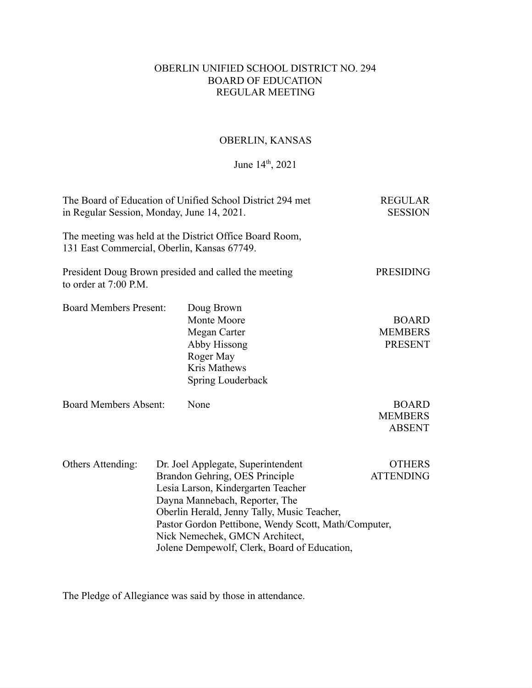# OBERLIN UNIFIED SCHOOL DISTRICT NO. 294 BOARD OF EDUCATION REGULAR MEETING

# OBERLIN, KANSAS

## June 14<sup>th</sup>, 2021

| The Board of Education of Unified School District 294 met<br>in Regular Session, Monday, June 14, 2021. | <b>REGULAR</b><br><b>SESSION</b> |                                                                                                                                                                                                                                                                                                                                       |                                                  |
|---------------------------------------------------------------------------------------------------------|----------------------------------|---------------------------------------------------------------------------------------------------------------------------------------------------------------------------------------------------------------------------------------------------------------------------------------------------------------------------------------|--------------------------------------------------|
| 131 East Commercial, Oberlin, Kansas 67749.                                                             |                                  | The meeting was held at the District Office Board Room,                                                                                                                                                                                                                                                                               |                                                  |
| to order at 7:00 P.M.                                                                                   |                                  | President Doug Brown presided and called the meeting                                                                                                                                                                                                                                                                                  | <b>PRESIDING</b>                                 |
| <b>Board Members Present:</b>                                                                           |                                  | Doug Brown<br>Monte Moore<br>Megan Carter<br>Abby Hissong<br>Roger May<br>Kris Mathews<br>Spring Louderback                                                                                                                                                                                                                           | <b>BOARD</b><br><b>MEMBERS</b><br><b>PRESENT</b> |
| <b>Board Members Absent:</b>                                                                            |                                  | None                                                                                                                                                                                                                                                                                                                                  | <b>BOARD</b><br><b>MEMBERS</b><br><b>ABSENT</b>  |
| Others Attending:                                                                                       |                                  | Dr. Joel Applegate, Superintendent<br>Brandon Gehring, OES Principle<br>Lesia Larson, Kindergarten Teacher<br>Dayna Mannebach, Reporter, The<br>Oberlin Herald, Jenny Tally, Music Teacher,<br>Pastor Gordon Pettibone, Wendy Scott, Math/Computer,<br>Nick Nemechek, GMCN Architect,<br>Jolene Dempewolf, Clerk, Board of Education, | <b>OTHERS</b><br><b>ATTENDING</b>                |

The Pledge of Allegiance was said by those in attendance.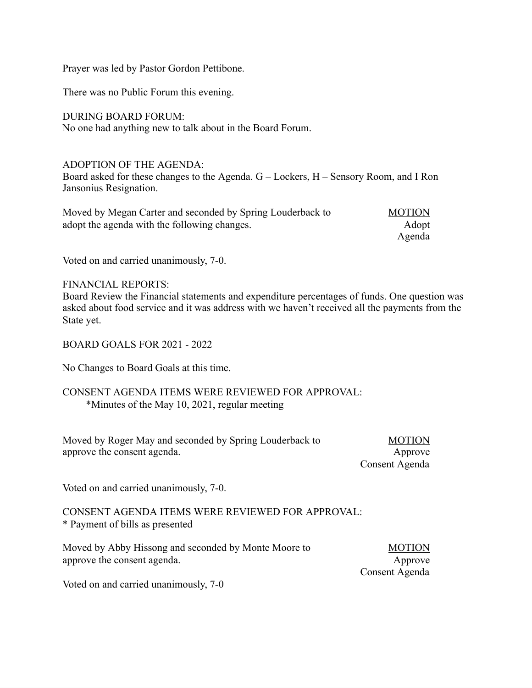Prayer was led by Pastor Gordon Pettibone.

There was no Public Forum this evening.

DURING BOARD FORUM:

No one had anything new to talk about in the Board Forum.

## ADOPTION OF THE AGENDA:

Board asked for these changes to the Agenda. G – Lockers, H – Sensory Room, and I Ron Jansonius Resignation.

| Moved by Megan Carter and seconded by Spring Louderback to | <b>MOTION</b> |
|------------------------------------------------------------|---------------|
| adopt the agenda with the following changes.               | Adopt         |
|                                                            | Agenda        |

Voted on and carried unanimously, 7-0.

## FINANCIAL REPORTS:

Board Review the Financial statements and expenditure percentages of funds. One question was asked about food service and it was address with we haven't received all the payments from the State yet.

## BOARD GOALS FOR 2021 - 2022

No Changes to Board Goals at this time.

## CONSENT AGENDA ITEMS WERE REVIEWED FOR APPROVAL: \*Minutes of the May 10, 2021, regular meeting

| Moved by Roger May and seconded by Spring Louderback to | <b>MOTION</b>  |
|---------------------------------------------------------|----------------|
| approve the consent agenda.                             | Approve        |
|                                                         | Consent Agenda |

Voted on and carried unanimously, 7-0.

## CONSENT AGENDA ITEMS WERE REVIEWED FOR APPROVAL: \* Payment of bills as presented

| Moved by Abby Hissong and seconded by Monte Moore to | <b>MOTION</b>  |
|------------------------------------------------------|----------------|
| approve the consent agenda.                          | Approve        |
|                                                      | Consent Agenda |

Voted on and carried unanimously, 7-0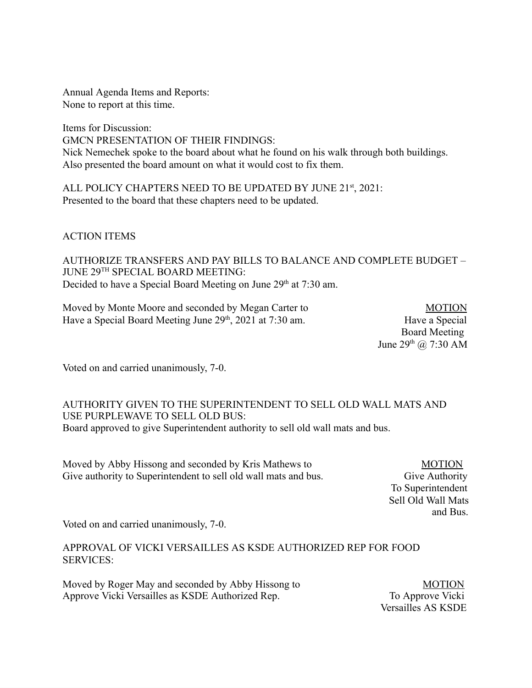Annual Agenda Items and Reports: None to report at this time.

Items for Discussion: GMCN PRESENTATION OF THEIR FINDINGS: Nick Nemechek spoke to the board about what he found on his walk through both buildings. Also presented the board amount on what it would cost to fix them.

ALL POLICY CHAPTERS NEED TO BE UPDATED BY JUNE 21<sup>st</sup>, 2021: Presented to the board that these chapters need to be updated.

ACTION ITEMS

AUTHORIZE TRANSFERS AND PAY BILLS TO BALANCE AND COMPLETE BUDGET – JUNE 29TH SPECIAL BOARD MEETING: Decided to have a Special Board Meeting on June 29<sup>th</sup> at 7:30 am.

Moved by Monte Moore and seconded by Megan Carter to MOTION Have a Special Board Meeting June 29<sup>th</sup>, 2021 at 7:30 am. Have a Special Have a Special

 Board Meeting June  $29^{th}$  ( $\omega$  7:30 AM

Voted on and carried unanimously, 7-0.

# AUTHORITY GIVEN TO THE SUPERINTENDENT TO SELL OLD WALL MATS AND USE PURPLEWAVE TO SELL OLD BUS: Board approved to give Superintendent authority to sell old wall mats and bus.

Moved by Abby Hissong and seconded by Kris Mathews to MOTION Give authority to Superintendent to sell old wall mats and bus. Give Authority

 To Superintendent Sell Old Wall Mats and Bus.

Voted on and carried unanimously, 7-0.

APPROVAL OF VICKI VERSAILLES AS KSDE AUTHORIZED REP FOR FOOD SERVICES:

Moved by Roger May and seconded by Abby Hissong to MOTION Approve Vicki Versailles as KSDE Authorized Rep. To Approve Vicki

Versailles AS KSDE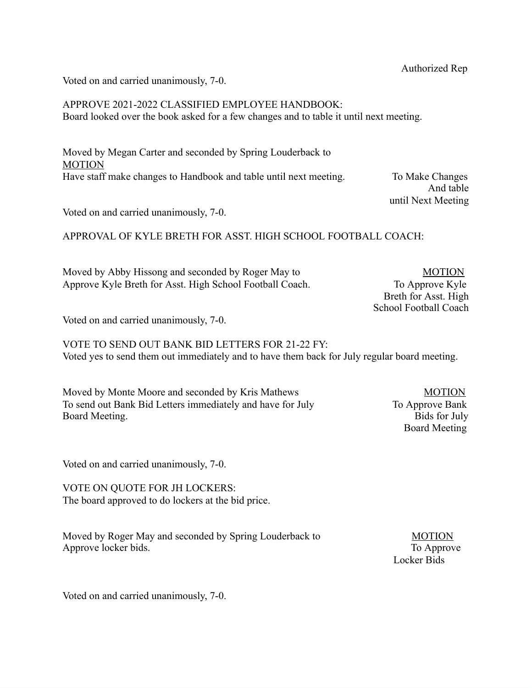Voted on and carried unanimously, 7-0.

APPROVE 2021-2022 CLASSIFIED EMPLOYEE HANDBOOK: Board looked over the book asked for a few changes and to table it until next meeting.

Moved by Megan Carter and seconded by Spring Louderback to **MOTION** Have staff make changes to Handbook and table until next meeting. To Make Changes

 And table until Next Meeting

Voted on and carried unanimously, 7-0.

APPROVAL OF KYLE BRETH FOR ASST. HIGH SCHOOL FOOTBALL COACH:

Moved by Abby Hissong and seconded by Roger May to MOTION Approve Kyle Breth for Asst. High School Football Coach. To Approve Kyle

Breth for Asst. High School Football Coach

Voted on and carried unanimously, 7-0.

VOTE TO SEND OUT BANK BID LETTERS FOR 21-22 FY: Voted yes to send them out immediately and to have them back for July regular board meeting.

Moved by Monte Moore and seconded by Kris Mathews MOTION To send out Bank Bid Letters immediately and have for July To Approve Bank Board Meeting. Bids for July

Board Meeting

Voted on and carried unanimously, 7-0.

VOTE ON QUOTE FOR JH LOCKERS: The board approved to do lockers at the bid price.

Moved by Roger May and seconded by Spring Louderback to MOTION Approve locker bids. To Approve

Locker Bids

Voted on and carried unanimously, 7-0.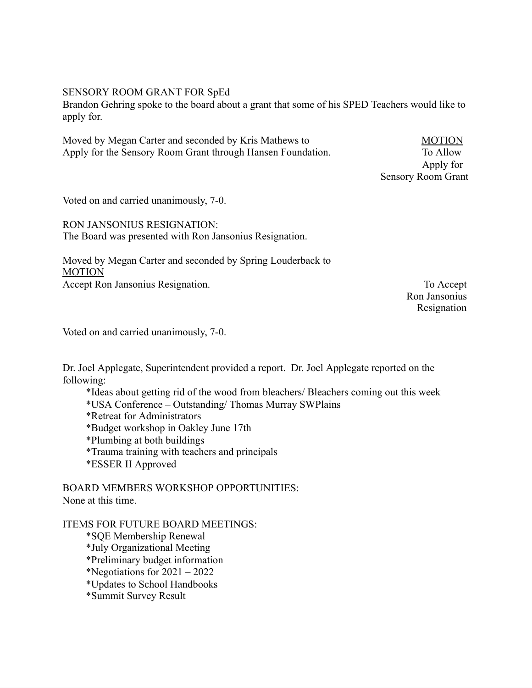#### SENSORY ROOM GRANT FOR SpEd

Brandon Gehring spoke to the board about a grant that some of his SPED Teachers would like to apply for.

Moved by Megan Carter and seconded by Kris Mathews to MOTION Apply for the Sensory Room Grant through Hansen Foundation. To Allow

 Apply for Sensory Room Grant

Voted on and carried unanimously, 7-0.

RON JANSONIUS RESIGNATION: The Board was presented with Ron Jansonius Resignation.

Moved by Megan Carter and seconded by Spring Louderback to MOTION Accept Ron Jansonius Resignation. To Accept

 Ron Jansonius Resignation

Voted on and carried unanimously, 7-0.

Dr. Joel Applegate, Superintendent provided a report. Dr. Joel Applegate reported on the following:

\*Ideas about getting rid of the wood from bleachers/ Bleachers coming out this week \*USA Conference – Outstanding/ Thomas Murray SWPlains \*Retreat for Administrators \*Budget workshop in Oakley June 17th \*Plumbing at both buildings \*Trauma training with teachers and principals \*ESSER II Approved

BOARD MEMBERS WORKSHOP OPPORTUNITIES: None at this time.

ITEMS FOR FUTURE BOARD MEETINGS: \*SQE Membership Renewal \*July Organizational Meeting \*Preliminary budget information \*Negotiations for 2021 – 2022 \*Updates to School Handbooks \*Summit Survey Result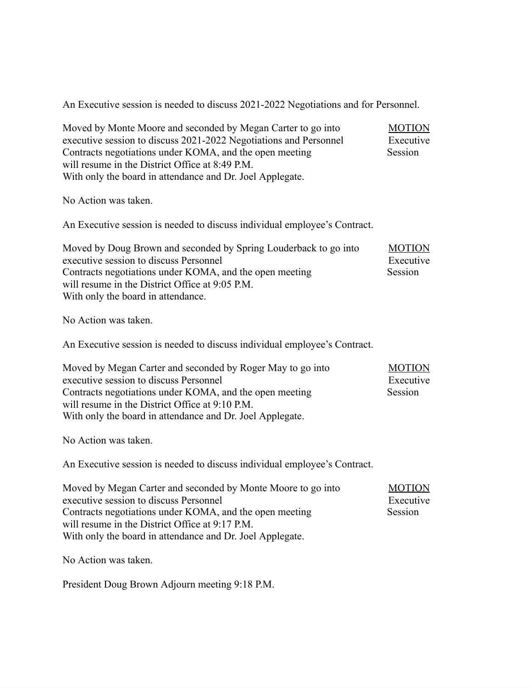An Executive session is needed to discuss 2021-2022 Negotiations and for Personnel.

| Moved by Monte Moore and seconded by Megan Carter to go into<br>executive session to discuss 2021-2022 Negotiations and Personnel<br>Contracts negotiations under KOMA, and the open meeting<br>will resume in the District Office at 8:49 P.M.<br>With only the board in attendance and Dr. Joel Applegate. | <b>MOTION</b><br>Executive<br>Session |
|--------------------------------------------------------------------------------------------------------------------------------------------------------------------------------------------------------------------------------------------------------------------------------------------------------------|---------------------------------------|
| No Action was taken.                                                                                                                                                                                                                                                                                         |                                       |
| An Executive session is needed to discuss individual employee's Contract.                                                                                                                                                                                                                                    |                                       |
| Moved by Doug Brown and seconded by Spring Louderback to go into<br>executive session to discuss Personnel<br>Contracts negotiations under KOMA, and the open meeting<br>will resume in the District Office at 9:05 P.M.<br>With only the board in attendance.                                               | <b>MOTION</b><br>Executive<br>Session |
| No Action was taken.                                                                                                                                                                                                                                                                                         |                                       |
| An Executive session is needed to discuss individual employee's Contract.                                                                                                                                                                                                                                    |                                       |
| Moved by Megan Carter and seconded by Roger May to go into<br>executive session to discuss Personnel<br>Contracts negotiations under KOMA, and the open meeting<br>will resume in the District Office at 9:10 P.M.<br>With only the board in attendance and Dr. Joel Applegate.                              | <b>MOTION</b><br>Executive<br>Session |
| No Action was taken.                                                                                                                                                                                                                                                                                         |                                       |
| An Executive session is needed to discuss individual employee's Contract.                                                                                                                                                                                                                                    |                                       |
| Moved by Megan Carter and seconded by Monte Moore to go into<br>executive session to discuss Personnel<br>Contracts negotiations under KOMA, and the open meeting<br>will resume in the District Office at 9:17 P.M.<br>With only the board in attendance and Dr. Joel Applegate.                            | <b>MOTION</b><br>Executive<br>Session |
| No Action was taken.                                                                                                                                                                                                                                                                                         |                                       |

President Doug Brown Adjourn meeting 9:18 P.M.